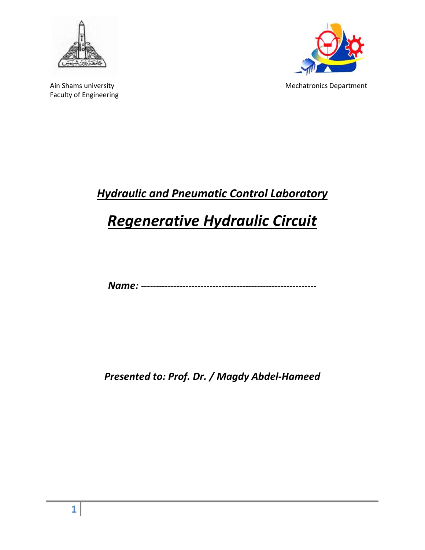



Ain Shams university and the matrix of the Mechatronics Department

# *Hydraulic and Pneumatic Control Laboratory*

# *Regenerative Hydraulic Circuit*

*Name:* -----------------------------------------------------------

*Presented to: Prof. Dr. / Magdy Abdel-Hameed*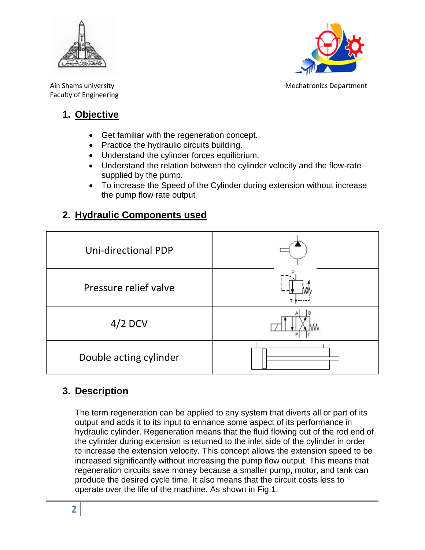



Ain Shams university Mechatronics Department

#### **1. Objective**

- Get familiar with the regeneration concept.
- Practice the hydraulic circuits building.
- Understand the cylinder forces equilibrium.
- Understand the relation between the cylinder velocity and the flow-rate supplied by the pump.
- To increase the Speed of the Cylinder during extension without increase the pump flow rate output

### **2. Hydraulic Components used**



#### **3. Description**

The term regeneration can be applied to any system that diverts all or part of its output and adds it to its input to enhance some aspect of its performance in hydraulic cylinder. Regeneration means that the fluid flowing out of the rod end of the cylinder during extension is returned to the inlet side of the cylinder in order to increase the extension velocity. This concept allows the extension speed to be increased significantly without increasing the pump flow output. This means that regeneration circuits save money because a smaller pump, motor, and tank can produce the desired cycle time. It also means that the circuit costs less to operate over the life of the machine. As shown in Fig.1.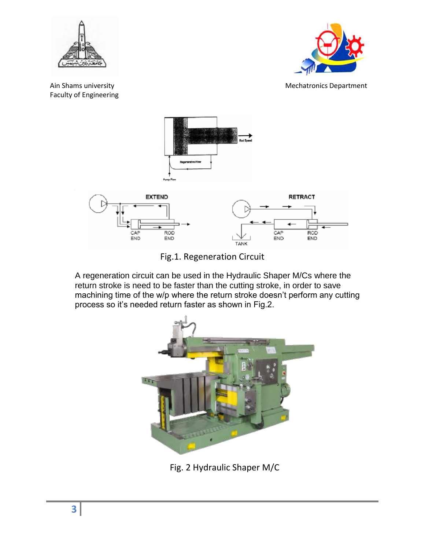



Ain Shams university and the matrix of the Mechatronics Department



Fig.1. Regeneration Circuit

A regeneration circuit can be used in the Hydraulic Shaper M/Cs where the return stroke is need to be faster than the cutting stroke, in order to save machining time of the w/p where the return stroke doesn't perform any cutting process so it's needed return faster as shown in Fig.2.



Fig. 2 Hydraulic Shaper M/C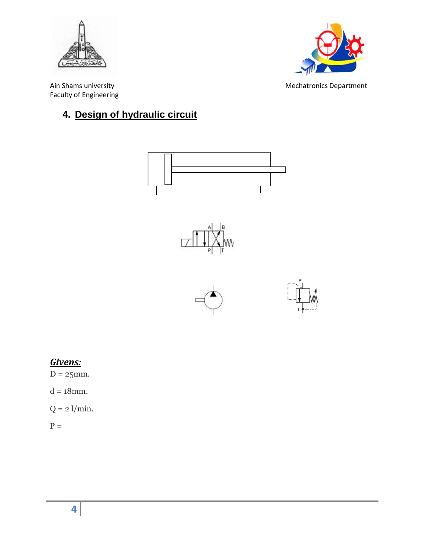



Ain Shams university **Mechatronics** Department Faculty of Engineering

## **4. Design of hydraulic circuit**



#### *Givens:*

 $D = 25$ mm.

 $d = 18$ mm.

 $Q = 2$  l/min.

 $P =$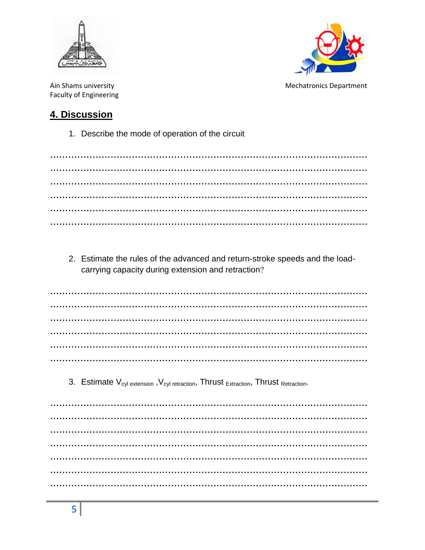



Ain Shams university **Faculty of Engineering**  **Mechatronics Department** 

#### 4. Discussion

1. Describe the mode of operation of the circuit

2. Estimate the rules of the advanced and return-stroke speeds and the loadcarrying capacity during extension and retraction?

3. Estimate V<sub>cyl extension</sub>, V<sub>cyl retraction</sub>, Thrust <sub>Extraction</sub>, Thrust Retraction.